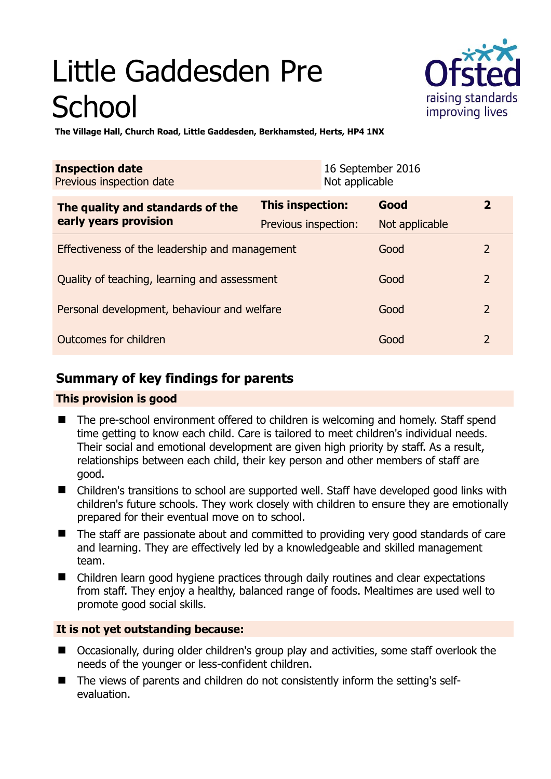# Little Gaddesden Pre **School**



**The Village Hall, Church Road, Little Gaddesden, Berkhamsted, Herts, HP4 1NX** 

| <b>Inspection date</b><br>Previous inspection date        | Not applicable       | 16 September 2016 |                |
|-----------------------------------------------------------|----------------------|-------------------|----------------|
| The quality and standards of the<br>early years provision | This inspection:     | Good              | $\overline{2}$ |
|                                                           | Previous inspection: | Not applicable    |                |
| Effectiveness of the leadership and management            |                      | Good              | 2              |
| Quality of teaching, learning and assessment              |                      | Good              | $\overline{2}$ |
| Personal development, behaviour and welfare               |                      | Good              | $\overline{2}$ |
| Outcomes for children                                     |                      | Good              | $\overline{2}$ |

# **Summary of key findings for parents**

## **This provision is good**

- The pre-school environment offered to children is welcoming and homely. Staff spend time getting to know each child. Care is tailored to meet children's individual needs. Their social and emotional development are given high priority by staff. As a result, relationships between each child, their key person and other members of staff are good.
- Children's transitions to school are supported well. Staff have developed good links with children's future schools. They work closely with children to ensure they are emotionally prepared for their eventual move on to school.
- The staff are passionate about and committed to providing very good standards of care and learning. They are effectively led by a knowledgeable and skilled management team.
- Children learn good hygiene practices through daily routines and clear expectations from staff. They enjoy a healthy, balanced range of foods. Mealtimes are used well to promote good social skills.

# **It is not yet outstanding because:**

- Occasionally, during older children's group play and activities, some staff overlook the needs of the younger or less-confident children.
- The views of parents and children do not consistently inform the setting's selfevaluation.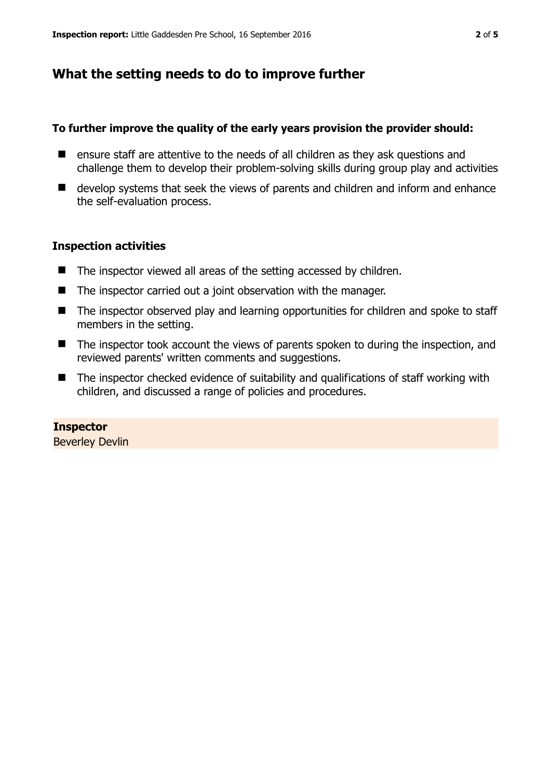# **What the setting needs to do to improve further**

## **To further improve the quality of the early years provision the provider should:**

- ensure staff are attentive to the needs of all children as they ask questions and challenge them to develop their problem-solving skills during group play and activities
- develop systems that seek the views of parents and children and inform and enhance the self-evaluation process.

## **Inspection activities**

- The inspector viewed all areas of the setting accessed by children.
- The inspector carried out a joint observation with the manager.
- The inspector observed play and learning opportunities for children and spoke to staff members in the setting.
- The inspector took account the views of parents spoken to during the inspection, and reviewed parents' written comments and suggestions.
- The inspector checked evidence of suitability and qualifications of staff working with children, and discussed a range of policies and procedures.

## **Inspector**

Beverley Devlin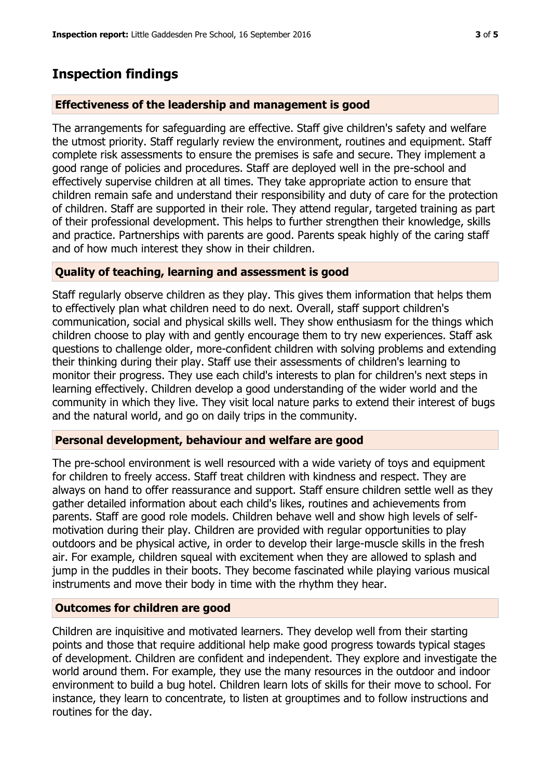# **Inspection findings**

## **Effectiveness of the leadership and management is good**

The arrangements for safeguarding are effective. Staff give children's safety and welfare the utmost priority. Staff regularly review the environment, routines and equipment. Staff complete risk assessments to ensure the premises is safe and secure. They implement a good range of policies and procedures. Staff are deployed well in the pre-school and effectively supervise children at all times. They take appropriate action to ensure that children remain safe and understand their responsibility and duty of care for the protection of children. Staff are supported in their role. They attend regular, targeted training as part of their professional development. This helps to further strengthen their knowledge, skills and practice. Partnerships with parents are good. Parents speak highly of the caring staff and of how much interest they show in their children.

## **Quality of teaching, learning and assessment is good**

Staff regularly observe children as they play. This gives them information that helps them to effectively plan what children need to do next. Overall, staff support children's communication, social and physical skills well. They show enthusiasm for the things which children choose to play with and gently encourage them to try new experiences. Staff ask questions to challenge older, more-confident children with solving problems and extending their thinking during their play. Staff use their assessments of children's learning to monitor their progress. They use each child's interests to plan for children's next steps in learning effectively. Children develop a good understanding of the wider world and the community in which they live. They visit local nature parks to extend their interest of bugs and the natural world, and go on daily trips in the community.

## **Personal development, behaviour and welfare are good**

The pre-school environment is well resourced with a wide variety of toys and equipment for children to freely access. Staff treat children with kindness and respect. They are always on hand to offer reassurance and support. Staff ensure children settle well as they gather detailed information about each child's likes, routines and achievements from parents. Staff are good role models. Children behave well and show high levels of selfmotivation during their play. Children are provided with regular opportunities to play outdoors and be physical active, in order to develop their large-muscle skills in the fresh air. For example, children squeal with excitement when they are allowed to splash and jump in the puddles in their boots. They become fascinated while playing various musical instruments and move their body in time with the rhythm they hear.

## **Outcomes for children are good**

Children are inquisitive and motivated learners. They develop well from their starting points and those that require additional help make good progress towards typical stages of development. Children are confident and independent. They explore and investigate the world around them. For example, they use the many resources in the outdoor and indoor environment to build a bug hotel. Children learn lots of skills for their move to school. For instance, they learn to concentrate, to listen at grouptimes and to follow instructions and routines for the day.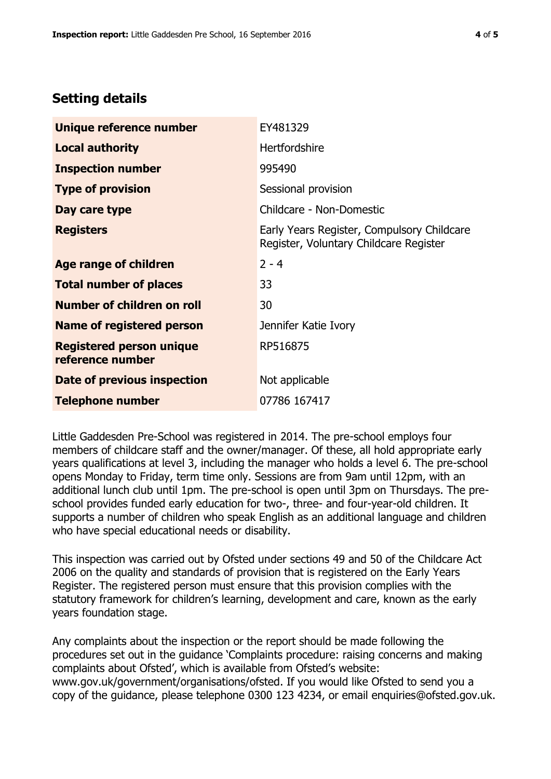# **Setting details**

| Unique reference number                             | EY481329                                                                             |  |
|-----------------------------------------------------|--------------------------------------------------------------------------------------|--|
| <b>Local authority</b>                              | <b>Hertfordshire</b>                                                                 |  |
| <b>Inspection number</b>                            | 995490                                                                               |  |
| <b>Type of provision</b>                            | Sessional provision                                                                  |  |
| Day care type                                       | Childcare - Non-Domestic                                                             |  |
| <b>Registers</b>                                    | Early Years Register, Compulsory Childcare<br>Register, Voluntary Childcare Register |  |
| Age range of children                               | $2 - 4$                                                                              |  |
| <b>Total number of places</b>                       | 33                                                                                   |  |
| Number of children on roll                          | 30                                                                                   |  |
| Name of registered person                           | Jennifer Katie Ivory                                                                 |  |
| <b>Registered person unique</b><br>reference number | RP516875                                                                             |  |
| Date of previous inspection                         | Not applicable                                                                       |  |
| <b>Telephone number</b>                             | 07786 167417                                                                         |  |

Little Gaddesden Pre-School was registered in 2014. The pre-school employs four members of childcare staff and the owner/manager. Of these, all hold appropriate early years qualifications at level 3, including the manager who holds a level 6. The pre-school opens Monday to Friday, term time only. Sessions are from 9am until 12pm, with an additional lunch club until 1pm. The pre-school is open until 3pm on Thursdays. The preschool provides funded early education for two-, three- and four-year-old children. It supports a number of children who speak English as an additional language and children who have special educational needs or disability.

This inspection was carried out by Ofsted under sections 49 and 50 of the Childcare Act 2006 on the quality and standards of provision that is registered on the Early Years Register. The registered person must ensure that this provision complies with the statutory framework for children's learning, development and care, known as the early years foundation stage.

Any complaints about the inspection or the report should be made following the procedures set out in the guidance 'Complaints procedure: raising concerns and making complaints about Ofsted', which is available from Ofsted's website: www.gov.uk/government/organisations/ofsted. If you would like Ofsted to send you a copy of the guidance, please telephone 0300 123 4234, or email enquiries@ofsted.gov.uk.